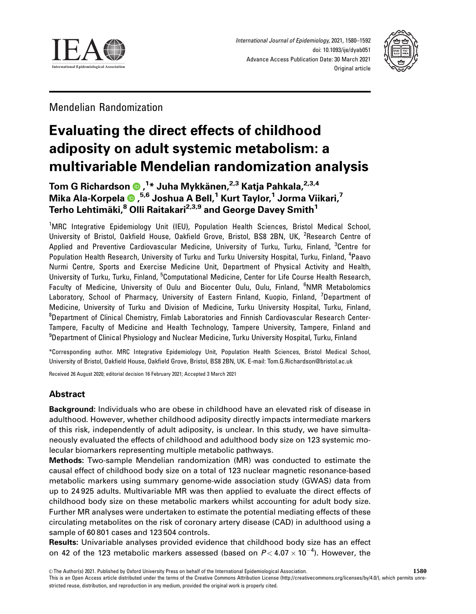



Mendelian Randomization

# Evaluating the direct effects of childhood adiposity on adult systemic metabolism: a multivariable Mendelian randomization analysis

Tom G Richardson , 1 \* Juha Mykka¨ nen,2,3 Katja Pahkala,2,3,4 Mika Ala-Korpela , 5,6 Joshua A Bell,1 Kurt Taylor,1 Jorma Viikari,7 Terho Lehtimäki,<sup>8</sup> Olli Raitakari<sup>2,3,9</sup> and George Davey Smith<sup>1</sup>

<sup>1</sup>MRC Integrative Epidemiology Unit (IEU), Population Health Sciences, Bristol Medical School, University of Bristol, Oakfield House, Oakfield Grove, Bristol, BS8 2BN, UK, <sup>2</sup>Research Centre of Applied and Preventive Cardiovascular Medicine, University of Turku, Turku, Finland, <sup>3</sup>Centre for Population Health Research, University of Turku and Turku University Hospital, Turku, Finland, <sup>4</sup>Paavo Nurmi Centre, Sports and Exercise Medicine Unit, Department of Physical Activity and Health, University of Turku, Turku, Finland, <sup>5</sup>Computational Medicine, Center for Life Course Health Research, Faculty of Medicine, University of Oulu and Biocenter Oulu, Oulu, Finland, <sup>6</sup>NMR Metabolomics Laboratory, School of Pharmacy, University of Eastern Finland, Kuopio, Finland, <sup>7</sup>Department of Medicine, University of Turku and Division of Medicine, Turku University Hospital, Turku, Finland, <sup>8</sup>Department of Clinical Chemistry, Fimlab Laboratories and Finnish Cardiovascular Research Center-Tampere, Faculty of Medicine and Health Technology, Tampere University, Tampere, Finland and <sup>9</sup>Department of Clinical Physiology and Nuclear Medicine, Turku University Hospital, Turku, Finland

\*Corresponding author. MRC Integrative Epidemiology Unit, Population Health Sciences, Bristol Medical School, University of Bristol, Oakfield House, Oakfield Grove, Bristol, BS8 2BN, UK. E-mail: Tom.G.Richardson@bristol.ac.uk

Received 26 August 2020; editorial decision 16 February 2021; Accepted 3 March 2021

# Abstract

Background: Individuals who are obese in childhood have an elevated risk of disease in adulthood. However, whether childhood adiposity directly impacts intermediate markers of this risk, independently of adult adiposity, is unclear. In this study, we have simultaneously evaluated the effects of childhood and adulthood body size on 123 systemic molecular biomarkers representing multiple metabolic pathways.

Methods: Two-sample Mendelian randomization (MR) was conducted to estimate the causal effect of childhood body size on a total of 123 nuclear magnetic resonance-based metabolic markers using summary genome-wide association study (GWAS) data from up to 24 925 adults. Multivariable MR was then applied to evaluate the direct effects of childhood body size on these metabolic markers whilst accounting for adult body size. Further MR analyses were undertaken to estimate the potential mediating effects of these circulating metabolites on the risk of coronary artery disease (CAD) in adulthood using a sample of 60 801 cases and 123 504 controls.

Results: Univariable analyses provided evidence that childhood body size has an effect on 42 of the 123 metabolic markers assessed (based on  $P$  < 4.07  $\times$  10<sup>-4</sup>). However, the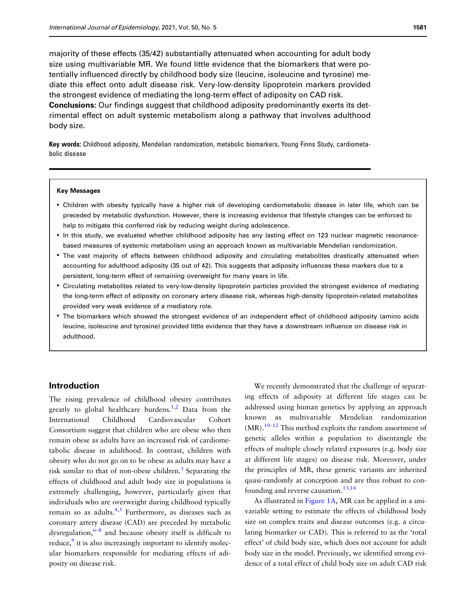<span id="page-1-0"></span>majority of these effects (35/42) substantially attenuated when accounting for adult body size using multivariable MR. We found little evidence that the biomarkers that were potentially influenced directly by childhood body size (leucine, isoleucine and tyrosine) mediate this effect onto adult disease risk. Very-low-density lipoprotein markers provided the strongest evidence of mediating the long-term effect of adiposity on CAD risk. Conclusions: Our findings suggest that childhood adiposity predominantly exerts its detrimental effect on adult systemic metabolism along a pathway that involves adulthood body size.

Key words: Childhood adiposity, Mendelian randomization, metabolic biomarkers, Young Finns Study, cardiometabolic disease

#### Key Messages

- Children with obesity typically have a higher risk of developing cardiometabolic disease in later life, which can be preceded by metabolic dysfunction. However, there is increasing evidence that lifestyle changes can be enforced to help to mitigate this conferred risk by reducing weight during adolescence.
- In this study, we evaluated whether childhood adiposity has any lasting effect on 123 nuclear magnetic resonancebased measures of systemic metabolism using an approach known as multivariable Mendelian randomization.
- The vast majority of effects between childhood adiposity and circulating metabolites drastically attenuated when accounting for adulthood adiposity (35 out of 42). This suggests that adiposity influences these markers due to a persistent, long-term effect of remaining overweight for many years in life.
- Circulating metabolites related to very-low-density lipoprotein particles provided the strongest evidence of mediating the long-term effect of adiposity on coronary artery disease risk, whereas high-density lipoprotein-related metabolites provided very weak evidence of a mediatory role.
- The biomarkers which showed the strongest evidence of an independent effect of childhood adiposity (amino acids leucine, isoleucine and tyrosine) provided little evidence that they have a downstream influence on disease risk in adulthood.

## Introduction

The rising prevalence of childhood obesity contributes greatly to global healthcare burdens.<sup>1,2</sup> Data from the International Childhood Cardiovascular Cohort Consortium suggest that children who are obese who then remain obese as adults have an increased risk of cardiometabolic disease in adulthood. In contrast, children with obesity who do not go on to be obese as adults may have a risk similar to that of non-obese children.<sup>3</sup> Separating the effects of childhood and adult body size in populations is extremely challenging, however, particularly given that individuals who are overweight during childhood typically remain so as adults. $4,5$  Furthermore, as diseases such as coronary artery disease (CAD) are preceded by metabolic dysregulation, $6-8$  $6-8$  $6-8$  and because obesity itself is difficult to reduce, $\frac{9}{7}$  $\frac{9}{7}$  $\frac{9}{7}$  it is also increasingly important to identify molecular biomarkers responsible for mediating effects of adiposity on disease risk.

We recently demonstrated that the challenge of separating effects of adiposity at different life stages can be addressed using human genetics by applying an approach known as multivariable Mendelian randomization  $(MR)$ .<sup>[10](#page-10-0)–[12](#page-10-0)</sup> This method exploits the random assortment of genetic alleles within a population to disentangle the effects of multiple closely related exposures (e.g. body size at different life stages) on disease risk. Moreover, under the principles of MR, these genetic variants are inherited quasi-randomly at conception and are thus robust to con-founding and reverse causation.<sup>[13,14](#page-10-0)</sup>

As illustrated in [Figure 1A](#page-2-0), MR can be applied in a univariable setting to estimate the effects of childhood body size on complex traits and disease outcomes (e.g. a circulating biomarker or CAD). This is referred to as the 'total effect' of child body size, which does not account for adult body size in the model. Previously, we identified strong evidence of a total effect of child body size on adult CAD risk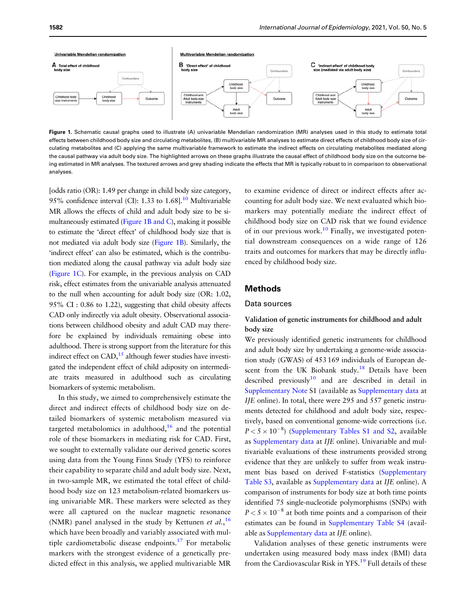<span id="page-2-0"></span>

Figure 1. Schematic causal graphs used to illustrate (A) univariable Mendelian randomization (MR) analyses used in this study to estimate total effects between childhood body size and circulating metabolites, (B) multivariable MR analyses to estimate direct effects of childhood body size of circulating metabolites and (C) applying the same multivariable framework to estimate the indirect effects on circulating metabolites mediated along the causal pathway via adult body size. The highlighted arrows on these graphs illustrate the causal effect of childhood body size on the outcome being estimated in MR analyses. The textured arrows and grey shading indicate the effects that MR is typically robust to in comparison to observational analyses.

[odds ratio (OR): 1.49 per change in child body size category, 95% confidence interval (CI): 1.33 to  $1.68$ ].<sup>[10](#page-10-0)</sup> Multivariable MR allows the effects of child and adult body size to be simultaneously estimated (Figure 1B and C), making it possible to estimate the 'direct effect' of childhood body size that is not mediated via adult body size (Figure 1B). Similarly, the 'indirect effect' can also be estimated, which is the contribution mediated along the causal pathway via adult body size (Figure 1C). For example, in the previous analysis on CAD risk, effect estimates from the univariable analysis attenuated to the null when accounting for adult body size (OR: 1.02, 95% CI : 0.86 to 1.22), suggesting that child obesity affects CAD only indirectly via adult obesity. Observational associations between childhood obesity and adult CAD may therefore be explained by individuals remaining obese into adulthood. There is strong support from the literature for this indirect effect on  $CAD<sub>15</sub><sup>15</sup>$  although fewer studies have investigated the independent effect of child adiposity on intermediate traits measured in adulthood such as circulating biomarkers of systemic metabolism.

In this study, we aimed to comprehensively estimate the direct and indirect effects of childhood body size on detailed biomarkers of systemic metabolism measured via targeted metabolomics in adulthood, $16$  and the potential role of these biomarkers in mediating risk for CAD. First, we sought to externally validate our derived genetic scores using data from the Young Finns Study (YFS) to reinforce their capability to separate child and adult body size. Next, in two-sample MR, we estimated the total effect of childhood body size on 123 metabolism-related biomarkers using univariable MR. These markers were selected as they were all captured on the nuclear magnetic resonance (NMR) panel analysed in the study by Kettunen et  $al$ , <sup>[16](#page-10-0)</sup> which have been broadly and variably associated with multiple cardiometabolic disease endpoints.[17](#page-10-0) For metabolic markers with the strongest evidence of a genetically predicted effect in this analysis, we applied multivariable MR to examine evidence of direct or indirect effects after accounting for adult body size. We next evaluated which biomarkers may potentially mediate the indirect effect of childhood body size on CAD risk that we found evidence of in our previous work.<sup>[10](#page-10-0)</sup> Finally, we investigated potential downstream consequences on a wide range of 126 traits and outcomes for markers that may be directly influenced by childhood body size.

## Methods

#### Data sources

## Validation of genetic instruments for childhood and adult body size

We previously identified genetic instruments for childhood and adult body size by undertaking a genome-wide association study (GWAS) of 453 169 individuals of European descent from the UK Biobank study.<sup>18</sup> Details have been described previously<sup>10</sup> and are described in detail in [Supplementary Note](https://academic.oup.com/ije/article-lookup/doi/10.1093/ije/dyab051#supplementary-data) S1 (available as [Supplementary data](https://academic.oup.com/ije/article-lookup/doi/10.1093/ije/dyab051#supplementary-data) at IJE online). In total, there were 295 and 557 genetic instruments detected for childhood and adult body size, respectively, based on conventional genome-wide corrections (i.e.  $P < 5 \times 10^{-8}$ ) [\(Supplementary Tables S1 and S2](https://academic.oup.com/ije/article-lookup/doi/10.1093/ije/dyab051#supplementary-data), available as [Supplementary data](https://academic.oup.com/ije/article-lookup/doi/10.1093/ije/dyab051#supplementary-data) at IJE online). Univariable and multivariable evaluations of these instruments provided strong evidence that they are unlikely to suffer from weak instrument bias based on derived F-statistics ([Supplementary](https://academic.oup.com/ije/article-lookup/doi/10.1093/ije/dyab051#supplementary-data) [Table S3,](https://academic.oup.com/ije/article-lookup/doi/10.1093/ije/dyab051#supplementary-data) available as [Supplementary data](https://academic.oup.com/ije/article-lookup/doi/10.1093/ije/dyab051#supplementary-data) at IJE online). A comparison of instruments for body size at both time points identified 75 single-nucleotide polymorphisms (SNPs) with  $P < 5 \times 10^{-8}$  at both time points and a comparison of their estimates can be found in [Supplementary Table S4](https://academic.oup.com/ije/article-lookup/doi/10.1093/ije/dyab051#supplementary-data) (available as [Supplementary data](https://academic.oup.com/ije/article-lookup/doi/10.1093/ije/dyab051#supplementary-data) at IJE online).

Validation analyses of these genetic instruments were undertaken using measured body mass index (BMI) data from the Cardiovascular Risk in YFS.<sup>19</sup> Full details of these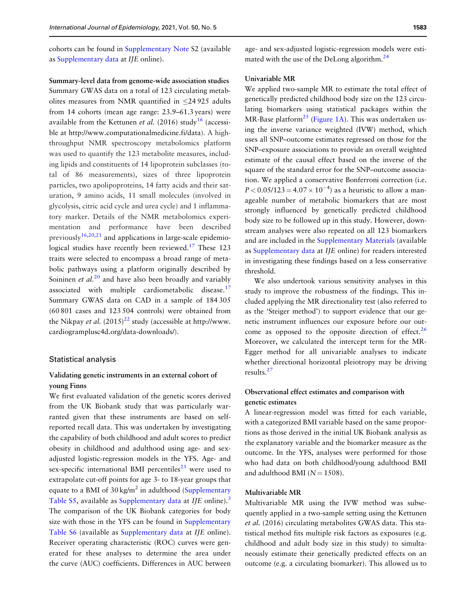<span id="page-3-0"></span>cohorts can be found in [Supplementary Note](https://academic.oup.com/ije/article-lookup/doi/10.1093/ije/dyab051#supplementary-data) S2 (available as [Supplementary data](https://academic.oup.com/ije/article-lookup/doi/10.1093/ije/dyab051#supplementary-data) at IJE online).

Summary-level data from genome-wide association studies Summary GWAS data on a total of 123 circulating metabolites measures from NMR quantified in  $\leq$ 24 925 adults from 14 cohorts (mean age range: 23.9–61.3 years) were available from the Kettunen et al. (20[16](#page-10-0)) study<sup>16</sup> (accessible at [http://www.computationalmedicine.fi/data\)](http://www.computationalmedicine.fi/data). A highthroughput NMR spectroscopy metabolomics platform was used to quantify the 123 metabolite measures, including lipids and constituents of 14 lipoprotein subclasses (total of 86 measurements), sizes of three lipoprotein particles, two apolipoproteins, 14 fatty acids and their saturation, 9 amino acids, 11 small molecules (involved in glycolysis, citric acid cycle and urea cycle) and 1 inflammatory marker. Details of the NMR metabolomics experimentation and performance have been described previously<sup>16,20[,21](#page-11-0)</sup> and applications in large-scale epidemiological studies have recently been reviewed.<sup>17</sup> These 123 traits were selected to encompass a broad range of metabolic pathways using a platform originally described by Soininen *et al.*<sup>[20](#page-10-0)</sup> and have also been broadly and variably associated with multiple cardiometabolic disease. $17$ Summary GWAS data on CAD in a sample of 184 305 (60 801 cases and 123 504 controls) were obtained from the Nikpay *et al.*  $(2015)^{22}$  $(2015)^{22}$  $(2015)^{22}$  study (accessible at [http://www.](http://www.cardiogramplusc4d.org/data-downloads/) [cardiogramplusc4d.org/data-downloads/\)](http://www.cardiogramplusc4d.org/data-downloads/).

#### Statistical analysis

## Validating genetic instruments in an external cohort of young Finns

We first evaluated validation of the genetic scores derived from the UK Biobank study that was particularly warranted given that these instruments are based on selfreported recall data. This was undertaken by investigating the capability of both childhood and adult scores to predict obesity in childhood and adulthood using age- and sexadjusted logistic-regression models in the YFS. Age- and sex-specific international BMI percentiles $^{23}$  $^{23}$  $^{23}$  were used to extrapolate cut-off points for age 3- to 18-year groups that equate to a BMI of  $30 \text{ kg/m}^2$  in adulthood ([Supplementary](https://academic.oup.com/ije/article-lookup/doi/10.1093/ije/dyab051#supplementary-data) [Table S5](https://academic.oup.com/ije/article-lookup/doi/10.1093/ije/dyab051#supplementary-data), available as [Supplementary data](https://academic.oup.com/ije/article-lookup/doi/10.1093/ije/dyab051#supplementary-data) at IJE online).<sup>[3](#page-10-0)</sup> The comparison of the UK Biobank categories for body size with those in the YFS can be found in [Supplementary](https://academic.oup.com/ije/article-lookup/doi/10.1093/ije/dyab051#supplementary-data) [Table S6](https://academic.oup.com/ije/article-lookup/doi/10.1093/ije/dyab051#supplementary-data) (available as [Supplementary data](https://academic.oup.com/ije/article-lookup/doi/10.1093/ije/dyab051#supplementary-data) at IJE online). Receiver operating characteristic (ROC) curves were generated for these analyses to determine the area under the curve (AUC) coefficients. Differences in AUC between age- and sex-adjusted logistic-regression models were estimated with the use of the DeLong algorithm.<sup>24</sup>

#### Univariable MR

We applied two-sample MR to estimate the total effect of genetically predicted childhood body size on the 123 circulating biomarkers using statistical packages within the MR-Base platform<sup>[25](#page-11-0)</sup> [\(Figure 1A\)](#page-2-0). This was undertaken using the inverse variance weighted (IVW) method, which uses all SNP–outcome estimates regressed on those for the SNP–exposure associations to provide an overall weighted estimate of the causal effect based on the inverse of the square of the standard error for the SNP–outcome association. We applied a conservative Bonferroni correction (i.e.  $P < 0.05/123 = 4.07 \times 10^{-4}$ ) as a heuristic to allow a manageable number of metabolic biomarkers that are most strongly influenced by genetically predicted childhood body size to be followed up in this study. However, downstream analyses were also repeated on all 123 biomarkers and are included in the [Supplementary Materials](https://academic.oup.com/ije/article-lookup/doi/10.1093/ije/dyab051#supplementary-data) (available as [Supplementary data](https://academic.oup.com/ije/article-lookup/doi/10.1093/ije/dyab051#supplementary-data) at IJE online) for readers interested in investigating these findings based on a less conservative threshold.

We also undertook various sensitivity analyses in this study to improve the robustness of the findings. This included applying the MR directionality test (also referred to as the 'Steiger method') to support evidence that our genetic instrument influences our exposure before our out-come as opposed to the opposite direction of effect.<sup>[26](#page-11-0)</sup> Moreover, we calculated the intercept term for the MR-Egger method for all univariable analyses to indicate whether directional horizontal pleiotropy may be driving results[.27](#page-11-0)

## Observational effect estimates and comparison with genetic estimates

A linear-regression model was fitted for each variable, with a categorized BMI variable based on the same proportions as those derived in the initial UK Biobank analysis as the explanatory variable and the biomarker measure as the outcome. In the YFS, analyses were performed for those who had data on both childhood/young adulthood BMI and adulthood BMI ( $N = 1508$ ).

#### Multivariable MR

Multivariable MR using the IVW method was subsequently applied in a two-sample setting using the Kettunen et al. (2016) circulating metabolites GWAS data. This statistical method fits multiple risk factors as exposures (e.g. childhood and adult body size in this study) to simultaneously estimate their genetically predicted effects on an outcome (e.g. a circulating biomarker). This allowed us to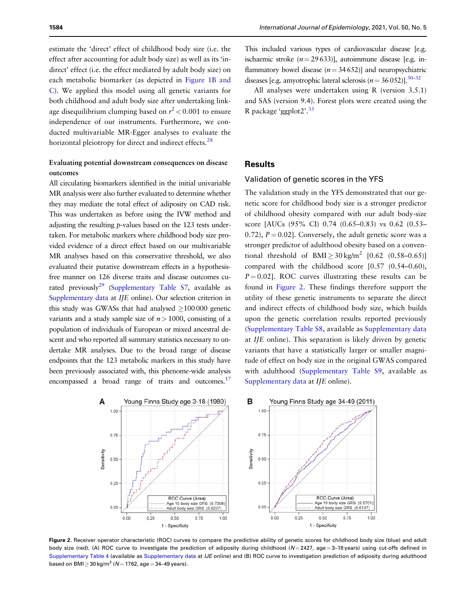<span id="page-4-0"></span>estimate the 'direct' effect of childhood body size (i.e. the effect after accounting for adult body size) as well as its 'indirect' effect (i.e. the effect mediated by adult body size) on each metabolic biomarker (as depicted in [Figure 1B and](#page-2-0) [C\)](#page-2-0). We applied this model using all genetic variants for both childhood and adult body size after undertaking linkage disequilibrium clumping based on  $r^2$  < 0.001 to ensure independence of our instruments. Furthermore, we conducted multivariable MR-Egger analyses to evaluate the horizontal pleiotropy for direct and indirect effects.<sup>[28](#page-11-0)</sup>

## Evaluating potential downstream consequences on disease outcomes

All circulating biomarkers identified in the initial univariable MR analysis were also further evaluated to determine whether they may mediate the total effect of adiposity on CAD risk. This was undertaken as before using the IVW method and adjusting the resulting p-values based on the 123 tests undertaken. For metabolic markers where childhood body size provided evidence of a direct effect based on our multivariable MR analyses based on this conservative threshold, we also evaluated their putative downstream effects in a hypothesisfree manner on 126 diverse traits and disease outcomes cu-rated previously<sup>29</sup> [\(Supplementary Table S7,](https://academic.oup.com/ije/article-lookup/doi/10.1093/ije/dyab051#supplementary-data) available as [Supplementary data](https://academic.oup.com/ije/article-lookup/doi/10.1093/ije/dyab051#supplementary-data) at IJE online). Our selection criterion in this study was GWASs that had analysed  $\geq$  100 000 genetic variants and a study sample size of  $n > 1000$ , consisting of a population of individuals of European or mixed ancestral descent and who reported all summary statistics necessary to undertake MR analyses. Due to the broad range of disease endpoints that the 123 metabolic markers in this study have been previously associated with, this phenome-wide analysis encompassed a broad range of traits and outcomes.<sup>[17](#page-10-0)</sup>

This included various types of cardiovascular disease [e.g. ischaemic stroke  $(n = 29633)$ ], autoimmune disease [e.g. inflammatory bowel disease  $(n = 34652)$ ] and neuropsychiatric diseases [e.g. amyotrophic lateral sclerosis ( $n = 36052$ )].<sup>30–32</sup>

All analyses were undertaken using R (version 3.5.1) and SAS (version 9.4). Forest plots were created using the R package 'ggplot $2^{33}$  $2^{33}$  $2^{33}$ 

## **Results**

#### Validation of genetic scores in the YFS

The validation study in the YFS demonstrated that our genetic score for childhood body size is a stronger predictor of childhood obesity compared with our adult body-size score [AUCs (95% CI) 0.74 (0.65–0.83) vs 0.62 (0.53– 0.72),  $P = 0.02$ . Conversely, the adult genetic score was a stronger predictor of adulthood obesity based on a conventional threshold of  $BMI > 30 \text{ kg/m}^2$  [0.62 (0.58–0.65)] compared with the childhood score [0.57 (0.54–0.60),  $P = 0.02$ . ROC curves illustrating these results can be found in Figure 2. These findings therefore support the utility of these genetic instruments to separate the direct and indirect effects of childhood body size, which builds upon the genetic correlation results reported previously [\(Supplementary Table S8](https://academic.oup.com/ije/article-lookup/doi/10.1093/ije/dyab051#supplementary-data), available as [Supplementary data](https://academic.oup.com/ije/article-lookup/doi/10.1093/ije/dyab051#supplementary-data) at IJE online). This separation is likely driven by genetic variants that have a statistically larger or smaller magnitude of effect on body size in the original GWAS compared with adulthood [\(Supplementary Table S9,](https://academic.oup.com/ije/article-lookup/doi/10.1093/ije/dyab051#supplementary-data) available as [Supplementary data](https://academic.oup.com/ije/article-lookup/doi/10.1093/ije/dyab051#supplementary-data) at IJE online).



Figure 2. Receiver operator characteristic (ROC) curves to compare the predictive ability of genetic scores for childhood body size (blue) and adult body size (red). (A) ROC curve to investigate the prediction of adiposity during childhood ( $N = 2427$ , age = 3–18 years) using cut-offs defined in [Supplementary Table 4](https://academic.oup.com/ije/article-lookup/doi/10.1093/ije/dyab051#supplementary-data) (available as [Supplementary data](https://academic.oup.com/ije/article-lookup/doi/10.1093/ije/dyab051#supplementary-data) at IJE online) and (B) ROC curve to investigation prediction of adiposity during adulthood based on BMI  $\geq$  30 kg/m<sup>2</sup> (N = 1762, age = 34–49 years).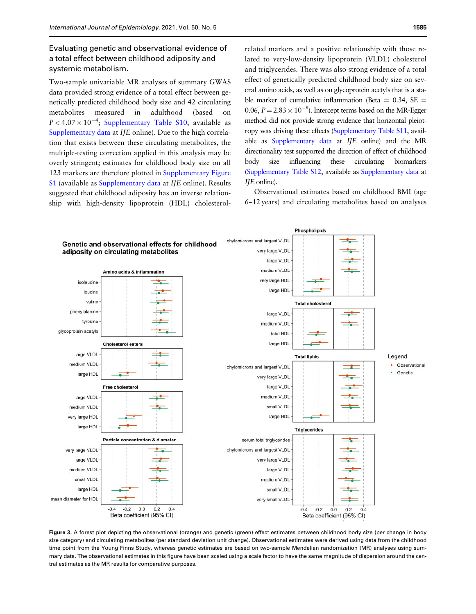<span id="page-5-0"></span>Evaluating genetic and observational evidence of a total effect between childhood adiposity and systemic metabolism.

Two-sample univariable MR analyses of summary GWAS data provided strong evidence of a total effect between genetically predicted childhood body size and 42 circulating metabolites measured in adulthood (based on  $P < 4.07 \times 10^{-4}$ ; [Supplementary Table S10,](https://academic.oup.com/ije/article-lookup/doi/10.1093/ije/dyab051#supplementary-data) available as [Supplementary data](https://academic.oup.com/ije/article-lookup/doi/10.1093/ije/dyab051#supplementary-data) at IJE online). Due to the high correlation that exists between these circulating metabolites, the multiple-testing correction applied in this analysis may be overly stringent; estimates for childhood body size on all 123 markers are therefore plotted in [Supplementary Figure](https://academic.oup.com/ije/article-lookup/doi/10.1093/ije/dyab051#supplementary-data) [S1](https://academic.oup.com/ije/article-lookup/doi/10.1093/ije/dyab051#supplementary-data) (available as [Supplementary data](https://academic.oup.com/ije/article-lookup/doi/10.1093/ije/dyab051#supplementary-data) at IJE online). Results suggested that childhood adiposity has an inverse relationship with high-density lipoprotein (HDL) cholesterol-

related markers and a positive relationship with those related to very-low-density lipoprotein (VLDL) cholesterol and triglycerides. There was also strong evidence of a total effect of genetically predicted childhood body size on several amino acids, as well as on glycoprotein acetyls that is a stable marker of cumulative inflammation (Beta =  $0.34$ , SE = 0.06,  $P = 2.83 \times 10^{-8}$ ). Intercept terms based on the MR-Egger method did not provide strong evidence that horizontal pleiotropy was driving these effects [\(Supplementary Table S11,](https://academic.oup.com/ije/article-lookup/doi/10.1093/ije/dyab051#supplementary-data) available as [Supplementary data](https://academic.oup.com/ije/article-lookup/doi/10.1093/ije/dyab051#supplementary-data) at IJE online) and the MR directionality test supported the direction of effect of childhood body size influencing these circulating biomarkers [\(Supplementary Table S12](https://academic.oup.com/ije/article-lookup/doi/10.1093/ije/dyab051#supplementary-data), available as [Supplementary data](https://academic.oup.com/ije/article-lookup/doi/10.1093/ije/dyab051#supplementary-data) at IJE online).

Observational estimates based on childhood BMI (age 6–12 years) and circulating metabolites based on analyses



Figure 3. A forest plot depicting the observational (orange) and genetic (green) effect estimates between childhood body size (per change in body size category) and circulating metabolites (per standard deviation unit change). Observational estimates were derived using data from the childhood time point from the Young Finns Study, whereas genetic estimates are based on two-sample Mendelian randomization (MR) analyses using summary data. The observational estimates in this figure have been scaled using a scale factor to have the same magnitude of dispersion around the central estimates as the MR results for comparative purposes.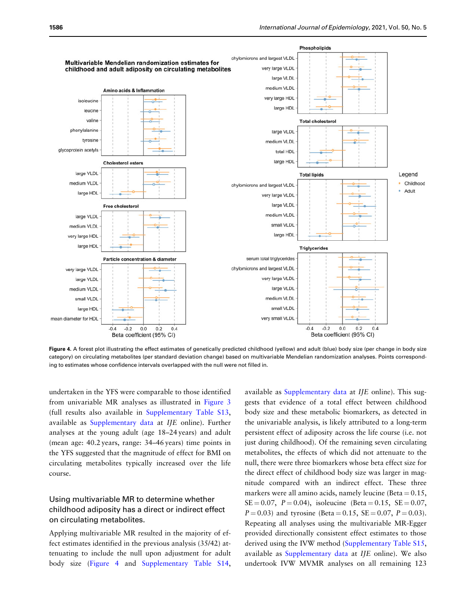

Figure 4. A forest plot illustrating the effect estimates of genetically predicted childhood (yellow) and adult (blue) body size (per change in body size category) on circulating metabolites (per standard deviation change) based on multivariable Mendelian randomization analyses. Points corresponding to estimates whose confidence intervals overlapped with the null were not filled in.

undertaken in the YFS were comparable to those identified from univariable MR analyses as illustrated in [Figure 3](#page-5-0) (full results also available in [Supplementary Table S13,](https://academic.oup.com/ije/article-lookup/doi/10.1093/ije/dyab051#supplementary-data) available as [Supplementary data](https://academic.oup.com/ije/article-lookup/doi/10.1093/ije/dyab051#supplementary-data) at IJE online). Further analyses at the young adult (age 18–24 years) and adult (mean age: 40.2 years, range: 34–46 years) time points in the YFS suggested that the magnitude of effect for BMI on circulating metabolites typically increased over the life course.

## Using multivariable MR to determine whether childhood adiposity has a direct or indirect effect on circulating metabolites.

Applying multivariable MR resulted in the majority of effect estimates identified in the previous analysis (35/42) attenuating to include the null upon adjustment for adult body size (Figure 4 and [Supplementary Table S14,](https://academic.oup.com/ije/article-lookup/doi/10.1093/ije/dyab051#supplementary-data)

available as [Supplementary data](https://academic.oup.com/ije/article-lookup/doi/10.1093/ije/dyab051#supplementary-data) at IJE online). This suggests that evidence of a total effect between childhood body size and these metabolic biomarkers, as detected in the univariable analysis, is likely attributed to a long-term persistent effect of adiposity across the life course (i.e. not just during childhood). Of the remaining seven circulating metabolites, the effects of which did not attenuate to the null, there were three biomarkers whose beta effect size for the direct effect of childhood body size was larger in magnitude compared with an indirect effect. These three markers were all amino acids, namely leucine (Beta  $= 0.15$ ,  $SE = 0.07$ ,  $P = 0.04$ ), isoleucine (Beta = 0.15,  $SE = 0.07$ ,  $P = 0.03$ ) and tyrosine (Beta = 0.15, SE = 0.07,  $P = 0.03$ ). Repeating all analyses using the multivariable MR-Egger provided directionally consistent effect estimates to those derived using the IVW method ([Supplementary Table S15,](https://academic.oup.com/ije/article-lookup/doi/10.1093/ije/dyab051#supplementary-data) available as [Supplementary data](https://academic.oup.com/ije/article-lookup/doi/10.1093/ije/dyab051#supplementary-data) at IJE online). We also undertook IVW MVMR analyses on all remaining 123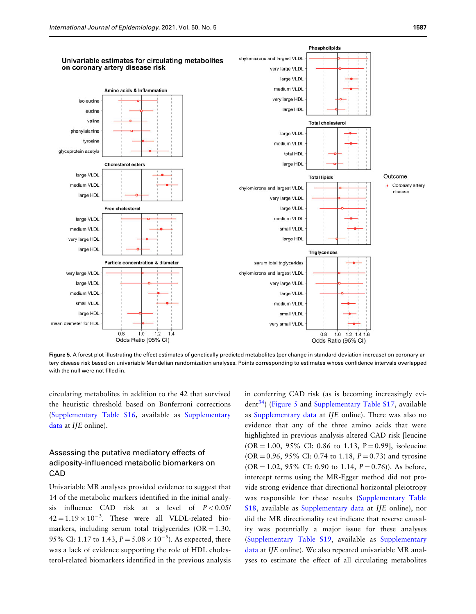<span id="page-7-0"></span>

Figure 5. A forest plot illustrating the effect estimates of genetically predicted metabolites (per change in standard deviation increase) on coronary artery disease risk based on univariable Mendelian randomization analyses. Points corresponding to estimates whose confidence intervals overlapped with the null were not filled in.

circulating metabolites in addition to the 42 that survived the heuristic threshold based on Bonferroni corrections [\(Supplementary Table S16](https://academic.oup.com/ije/article-lookup/doi/10.1093/ije/dyab051#supplementary-data), available as [Supplementary](https://academic.oup.com/ije/article-lookup/doi/10.1093/ije/dyab051#supplementary-data) [data](https://academic.oup.com/ije/article-lookup/doi/10.1093/ije/dyab051#supplementary-data) at IJE online).

# Assessing the putative mediatory effects of adiposity-influenced metabolic biomarkers on **CAD**

Univariable MR analyses provided evidence to suggest that 14 of the metabolic markers identified in the initial analysis influence CAD risk at a level of  $P < 0.05$ /  $42 = 1.19 \times 10^{-3}$ . These were all VLDL-related biomarkers, including serum total triglycerides ( $OR = 1.30$ , 95% CI: 1.17 to 1.43,  $P = 5.08 \times 10^{-5}$ ). As expected, there was a lack of evidence supporting the role of HDL cholesterol-related biomarkers identified in the previous analysis in conferring CAD risk (as is becoming increasingly evi- $\text{dent}^{34}$  $\text{dent}^{34}$  $\text{dent}^{34}$ ) (Figure 5 and [Supplementary Table S17,](https://academic.oup.com/ije/article-lookup/doi/10.1093/ije/dyab051#supplementary-data) available as [Supplementary data](https://academic.oup.com/ije/article-lookup/doi/10.1093/ije/dyab051#supplementary-data) at IJE online). There was also no evidence that any of the three amino acids that were highlighted in previous analysis altered CAD risk [leucine  $(OR = 1.00, 95\% \text{ CI: } 0.86 \text{ to } 1.13, P = 0.99$ , isoleucine (OR = 0.96, 95% CI: 0.74 to 1.18,  $P = 0.73$ ) and tyrosine  $(OR = 1.02, 95\% \text{ CI: } 0.90 \text{ to } 1.14, P = 0.76)$ . As before, intercept terms using the MR-Egger method did not provide strong evidence that directional horizontal pleiotropy was responsible for these results ([Supplementary Table](https://academic.oup.com/ije/article-lookup/doi/10.1093/ije/dyab051#supplementary-data) [S18,](https://academic.oup.com/ije/article-lookup/doi/10.1093/ije/dyab051#supplementary-data) available as [Supplementary data](https://academic.oup.com/ije/article-lookup/doi/10.1093/ije/dyab051#supplementary-data) at IJE online), nor did the MR directionality test indicate that reverse causality was potentially a major issue for these analyses [\(Supplementary Table S19](https://academic.oup.com/ije/article-lookup/doi/10.1093/ije/dyab051#supplementary-data), available as [Supplementary](https://academic.oup.com/ije/article-lookup/doi/10.1093/ije/dyab051#supplementary-data) [data](https://academic.oup.com/ije/article-lookup/doi/10.1093/ije/dyab051#supplementary-data) at IJE online). We also repeated univariable MR analyses to estimate the effect of all circulating metabolites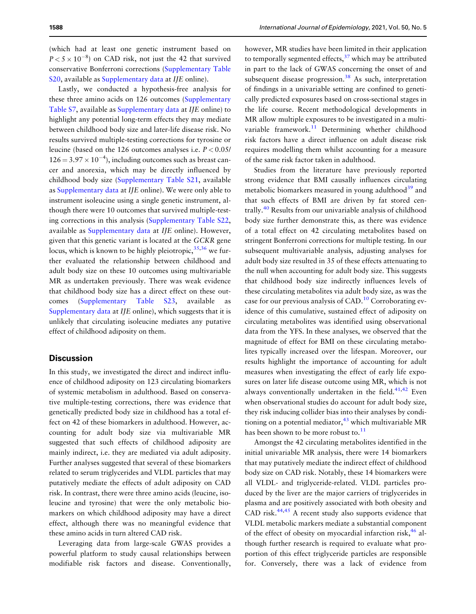<span id="page-8-0"></span>(which had at least one genetic instrument based on  $P < 5 \times 10^{-8}$ ) on CAD risk, not just the 42 that survived conservative Bonferroni corrections ([Supplementary Table](https://academic.oup.com/ije/article-lookup/doi/10.1093/ije/dyab051#supplementary-data) [S20,](https://academic.oup.com/ije/article-lookup/doi/10.1093/ije/dyab051#supplementary-data) available as [Supplementary data](https://academic.oup.com/ije/article-lookup/doi/10.1093/ije/dyab051#supplementary-data) at IJE online).

Lastly, we conducted a hypothesis-free analysis for these three amino acids on 126 outcomes ([Supplementary](https://academic.oup.com/ije/article-lookup/doi/10.1093/ije/dyab051#supplementary-data) [Table S7,](https://academic.oup.com/ije/article-lookup/doi/10.1093/ije/dyab051#supplementary-data) available as [Supplementary data](https://academic.oup.com/ije/article-lookup/doi/10.1093/ije/dyab051#supplementary-data) at IJE online) to highlight any potential long-term effects they may mediate between childhood body size and later-life disease risk. No results survived multiple-testing corrections for tyrosine or leucine (based on the 126 outcomes analyses i.e.  $P < 0.05$ /  $126 = 3.97 \times 10^{-4}$ , including outcomes such as breast cancer and anorexia, which may be directly influenced by childhood body size [\(Supplementary Table S21](https://academic.oup.com/ije/article-lookup/doi/10.1093/ije/dyab051#supplementary-data), available as [Supplementary data](https://academic.oup.com/ije/article-lookup/doi/10.1093/ije/dyab051#supplementary-data) at IJE online). We were only able to instrument isoleucine using a single genetic instrument, although there were 10 outcomes that survived multiple-testing corrections in this analysis [\(Supplementary Table S22,](https://academic.oup.com/ije/article-lookup/doi/10.1093/ije/dyab051#supplementary-data) available as [Supplementary data](https://academic.oup.com/ije/article-lookup/doi/10.1093/ije/dyab051#supplementary-data) at IJE online). However, given that this genetic variant is located at the GCKR gene locus, which is known to be highly pleiotropic,  $35,36$  we further evaluated the relationship between childhood and adult body size on these 10 outcomes using multivariable MR as undertaken previously. There was weak evidence that childhood body size has a direct effect on these outcomes [\(Supplementary Table S23,](https://academic.oup.com/ije/article-lookup/doi/10.1093/ije/dyab051#supplementary-data) available as [Supplementary data](https://academic.oup.com/ije/article-lookup/doi/10.1093/ije/dyab051#supplementary-data) at IJE online), which suggests that it is unlikely that circulating isoleucine mediates any putative effect of childhood adiposity on them.

#### **Discussion**

In this study, we investigated the direct and indirect influence of childhood adiposity on 123 circulating biomarkers of systemic metabolism in adulthood. Based on conservative multiple-testing corrections, there was evidence that genetically predicted body size in childhood has a total effect on 42 of these biomarkers in adulthood. However, accounting for adult body size via multivariable MR suggested that such effects of childhood adiposity are mainly indirect, i.e. they are mediated via adult adiposity. Further analyses suggested that several of these biomarkers related to serum triglycerides and VLDL particles that may putatively mediate the effects of adult adiposity on CAD risk. In contrast, there were three amino acids (leucine, isoleucine and tyrosine) that were the only metabolic biomarkers on which childhood adiposity may have a direct effect, although there was no meaningful evidence that these amino acids in turn altered CAD risk.

Leveraging data from large-scale GWAS provides a powerful platform to study causal relationships between modifiable risk factors and disease. Conventionally,

however, MR studies have been limited in their application to temporally segmented effects,  $37$  which may be attributed in part to the lack of GWAS concerning the onset of and subsequent disease progression.<sup>[38](#page-11-0)</sup> As such, interpretation of findings in a univariable setting are confined to genetically predicted exposures based on cross-sectional stages in the life course. Recent methodological developments in MR allow multiple exposures to be investigated in a multivariable framework. $11$  Determining whether childhood risk factors have a direct influence on adult disease risk requires modelling them whilst accounting for a measure of the same risk factor taken in adulthood.

Studies from the literature have previously reported strong evidence that BMI causally influences circulating metabolic biomarkers measured in young adulthood $39$  and that such effects of BMI are driven by fat stored centrally.[40](#page-11-0) Results from our univariable analysis of childhood body size further demonstrate this, as there was evidence of a total effect on 42 circulating metabolites based on stringent Bonferroni corrections for multiple testing. In our subsequent multivariable analysis, adjusting analyses for adult body size resulted in 35 of these effects attenuating to the null when accounting for adult body size. This suggests that childhood body size indirectly influences levels of these circulating metabolites via adult body size, as was the case for our previous analysis of CAD.[10](#page-10-0) Corroborating evidence of this cumulative, sustained effect of adiposity on circulating metabolites was identified using observational data from the YFS. In these analyses, we observed that the magnitude of effect for BMI on these circulating metabolites typically increased over the lifespan. Moreover, our results highlight the importance of accounting for adult measures when investigating the effect of early life exposures on later life disease outcome using MR, which is not always conventionally undertaken in the field. $41,42$  Even when observational studies do account for adult body size, they risk inducing collider bias into their analyses by conditioning on a potential mediator,  $43$  which multivariable MR has been shown to be more robust to. $11$ 

Amongst the 42 circulating metabolites identified in the initial univariable MR analysis, there were 14 biomarkers that may putatively mediate the indirect effect of childhood body size on CAD risk. Notably, these 14 biomarkers were all VLDL- and triglyceride-related. VLDL particles produced by the liver are the major carriers of triglycerides in plasma and are positively associated with both obesity and CAD risk. $44,45$  $44,45$  A recent study also supports evidence that VLDL metabolic markers mediate a substantial component of the effect of obesity on myocardial infarction risk, $46$  although further research is required to evaluate what proportion of this effect triglyceride particles are responsible for. Conversely, there was a lack of evidence from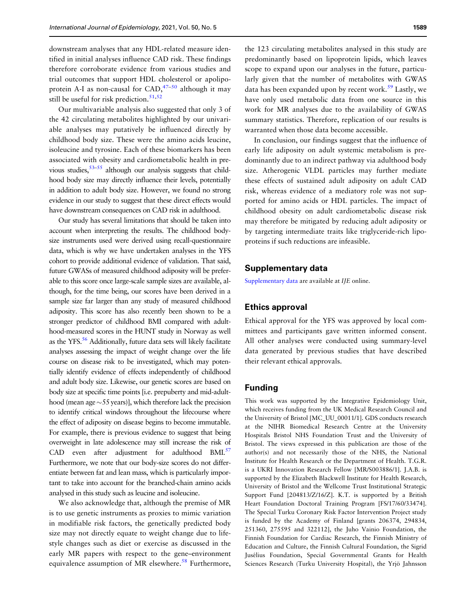<span id="page-9-0"></span>downstream analyses that any HDL-related measure identified in initial analyses influence CAD risk. These findings therefore corroborate evidence from various studies and trial outcomes that support HDL cholesterol or apolipoprotein A-I as non-causal for  $CAD, ^{47-50}$  although it may still be useful for risk prediction.<sup>[51,52](#page-11-0)</sup>

Our multivariable analysis also suggested that only 3 of the 42 circulating metabolites highlighted by our univariable analyses may putatively be influenced directly by childhood body size. These were the amino acids leucine, isoleucine and tyrosine. Each of these biomarkers has been associated with obesity and cardiometabolic health in previous studies,  $53-55$  $53-55$  although our analysis suggests that childhood body size may directly influence their levels, potentially in addition to adult body size. However, we found no strong evidence in our study to suggest that these direct effects would have downstream consequences on CAD risk in adulthood.

Our study has several limitations that should be taken into account when interpreting the results. The childhood bodysize instruments used were derived using recall-questionnaire data, which is why we have undertaken analyses in the YFS cohort to provide additional evidence of validation. That said, future GWASs of measured childhood adiposity will be preferable to this score once large-scale sample sizes are available, although, for the time being, our scores have been derived in a sample size far larger than any study of measured childhood adiposity. This score has also recently been shown to be a stronger predictor of childhood BMI compared with adulthood-measured scores in the HUNT study in Norway as well as the YFS.<sup>56</sup> Additionally, future data sets will likely facilitate analyses assessing the impact of weight change over the life course on disease risk to be investigated, which may potentially identify evidence of effects independently of childhood and adult body size. Likewise, our genetic scores are based on body size at specific time points [i.e. prepuberty and mid-adulthood (mean age  $\sim$  55 years)], which therefore lack the precision to identify critical windows throughout the lifecourse where the effect of adiposity on disease begins to become immutable. For example, there is previous evidence to suggest that being overweight in late adolescence may still increase the risk of CAD even after adjustment for adulthood BMI.<sup>57</sup> Furthermore, we note that our body-size scores do not differentiate between fat and lean mass, which is particularly important to take into account for the branched-chain amino acids analysed in this study such as leucine and isoleucine.

We also acknowledge that, although the premise of MR is to use genetic instruments as proxies to mimic variation in modifiable risk factors, the genetically predicted body size may not directly equate to weight change due to lifestyle changes such as diet or exercise as discussed in the early MR papers with respect to the gene–environment equivalence assumption of MR elsewhere.<sup>58</sup> Furthermore,

the 123 circulating metabolites analysed in this study are predominantly based on lipoprotein lipids, which leaves scope to expand upon our analyses in the future, particularly given that the number of metabolites with GWAS data has been expanded upon by recent work.<sup>59</sup> Lastly, we have only used metabolic data from one source in this work for MR analyses due to the availability of GWAS summary statistics. Therefore, replication of our results is warranted when those data become accessible.

In conclusion, our findings suggest that the influence of early life adiposity on adult systemic metabolism is predominantly due to an indirect pathway via adulthood body size. Atherogenic VLDL particles may further mediate these effects of sustained adult adiposity on adult CAD risk, whereas evidence of a mediatory role was not supported for amino acids or HDL particles. The impact of childhood obesity on adult cardiometabolic disease risk may therefore be mitigated by reducing adult adiposity or by targeting intermediate traits like triglyceride-rich lipoproteins if such reductions are infeasible.

#### Supplementary data

[Supplementary data](https://academic.oup.com/ije/article-lookup/doi/10.1093/ije/dyab051#supplementary-data) are available at IJE online.

#### Ethics approval

Ethical approval for the YFS was approved by local committees and participants gave written informed consent. All other analyses were conducted using summary-level data generated by previous studies that have described their relevant ethical approvals.

## Funding

This work was supported by the Integrative Epidemiology Unit, which receives funding from the UK Medical Research Council and the University of Bristol [MC\_UU\_00011/1]. GDS conducts research at the NIHR Biomedical Research Centre at the University Hospitals Bristol NHS Foundation Trust and the University of Bristol. The views expressed in this publication are those of the author(s) and not necessarily those of the NHS, the National Institute for Health Research or the Department of Health. T.G.R. is a UKRI Innovation Research Fellow [MR/S003886/1]. J.A.B. is supported by the Elizabeth Blackwell Institute for Health Research, University of Bristol and the Wellcome Trust Institutional Strategic Support Fund [204813/Z/16/Z]. K.T. is supported by a British Heart Foundation Doctoral Training Program [FS/17/60/33474]. The Special Turku Coronary Risk Factor Intervention Project study is funded by the Academy of Finland [grants 206374, 294834, 251360, 275595 and 322112], the Juho Vainio Foundation, the Finnish Foundation for Cardiac Research, the Finnish Ministry of Education and Culture, the Finnish Cultural Foundation, the Sigrid Jusélius Foundation, Special Governmental Grants for Health Sciences Research (Turku University Hospital), the Yrjö Jahnsson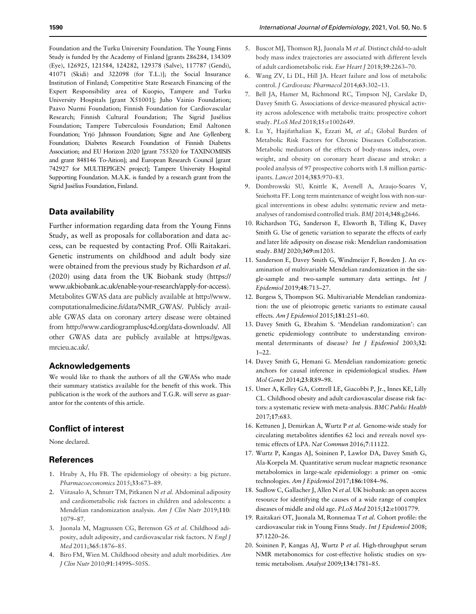<span id="page-10-0"></span>Foundation and the Turku University Foundation. The Young Finns Study is funded by the Academy of Finland [grants 286284, 134309 (Eye), 126925, 121584, 124282, 129378 (Salve), 117787 (Gendi), 41071 (Skidi) and 322098 (for T.L.)]; the Social Insurance Institution of Finland; Competitive State Research Financing of the Expert Responsibility area of Kuopio, Tampere and Turku University Hospitals [grant X51001]; Juho Vainio Foundation; Paavo Nurmi Foundation; Finnish Foundation for Cardiovascular Research; Finnish Cultural Foundation; The Sigrid Jusélius Foundation; Tampere Tuberculosis Foundation; Emil Aaltonen Foundation; Yrjö Jahnsson Foundation; Signe and Ane Gyllenberg Foundation; Diabetes Research Foundation of Finnish Diabetes Association; and EU Horizon 2020 [grant 755320 for TAXINOMISIS and grant 848146 To-Aition]; and European Research Council [grant 742927 for MULTIEPIGEN project]; Tampere University Hospital Supporting Foundation. M.A.K. is funded by a research grant from the Sigrid Jusélius Foundation, Finland.

## Data availability

Further information regarding data from the Young Finns Study, as well as proposals for collaboration and data access, can be requested by contacting Prof. Olli Raitakari. Genetic instruments on childhood and adult body size were obtained from the previous study by Richardson et al. (2020) using data from the UK Biobank study [\(https://](https://www.ukbiobank.ac.uk/enable-your-research/apply-for-access) [www.ukbiobank.ac.uk/enable-your-research/apply-for-access\)](https://www.ukbiobank.ac.uk/enable-your-research/apply-for-access). Metabolites GWAS data are publicly available at [http://www.](http://www.computationalmedicine.fi/data/NMR_GWAS/) [computationalmedicine.fi/data/NMR\\_GWAS/.](http://www.computationalmedicine.fi/data/NMR_GWAS/) Publicly available GWAS data on coronary artery disease were obtained from [http://www.cardiogramplusc4d.org/data-downloads/.](http://www.cardiogramplusc4d.org/data-downloads/) All other GWAS data are publicly available at [https://gwas.](https://gwas.mrcieu.ac.uk/) [mrcieu.ac.uk/.](https://gwas.mrcieu.ac.uk/)

## Acknowledgements

We would like to thank the authors of all the GWASs who made their summary statistics available for the benefit of this work. This publication is the work of the authors and T.G.R. will serve as guarantor for the contents of this article.

## Conflict of interest

None declared.

#### References

- [1.](#page-1-0) Hruby A, Hu FB. The epidemiology of obesity: a big picture. Pharmacoeconomics 2015;33:673–89.
- [2.](#page-1-0) Viitasalo A, Schnurr TM, Pitkanen N et al. Abdominal adiposity and cardiometabolic risk factors in children and adolescents: a Mendelian randomization analysis. Am J Clin Nutr 2019;110: 1079–87.
- [3.](#page-1-0) Juonala M, Magnussen CG, Berenson GS et al. Childhood adiposity, adult adiposity, and cardiovascular risk factors. N Engl J Med 2011;365:1876–85.
- [4.](#page-1-0) Biro FM, Wien M. Childhood obesity and adult morbidities. Am J Clin Nutr 2010;91:1499S–505S.
- 6. Wang ZV, Li DL, Hill JA. Heart failure and loss of metabolic control. J Cardiovasc Pharmacol 2014;63:302–13.
- 7. Bell JA, Hamer M, Richmond RC, Timpson NJ, Carslake D, Davey Smith G. Associations of device-measured physical activity across adolescence with metabolic traits: prospective cohort study. PLoS Med 2018;15:e1002649.
- 8. Lu Y, Hajifathalian K, Ezzati M, et al.; Global Burden of Metabolic Risk Factors for Chronic Diseases Collaboration. Metabolic mediators of the effects of body-mass index, overweight, and obesity on coronary heart disease and stroke: a pooled analysis of 97 prospective cohorts with 1.8 million participants. Lancet 2014;383:970–83.
- [9.](#page-1-0) Dombrowski SU, Knittle K, Avenell A, Araujo-Soares V, Sniehotta FF. Long term maintenance of weight loss with non-surgical interventions in obese adults: systematic review and metaanalyses of randomised controlled trials. BMJ 2014;348:g2646.
- [10.](#page-2-0) Richardson TG, Sanderson E, Elsworth B, Tilling K, Davey Smith G. Use of genetic variation to separate the effects of early and later life adiposity on disease risk: Mendelian randomisation study. BMJ 2020;369:m1203.
- [11.](#page-8-0) Sanderson E, Davey Smith G, Windmeijer F, Bowden J. An examination of multivariable Mendelian randomization in the single-sample and two-sample summary data settings. Int J Epidemiol 2019;48:713–27.
- 12. Burgess S, Thompson SG. Multivariable Mendelian randomization: the use of pleiotropic genetic variants to estimate causal effects. Am J Epidemiol 2015;181:251–60.
- [13.](#page-1-0) Davey Smith G, Ebrahim S. 'Mendelian randomization': can genetic epidemiology contribute to understanding environmental determinants of disease? Int J Epidemiol 2003;32: 1–22.
- [14.](#page-1-0) Davey Smith G, Hemani G. Mendelian randomization: genetic anchors for causal inference in epidemiological studies. Hum Mol Genet 2014;23:R89–98.
- [15.](#page-2-0) Umer A, Kelley GA, Cottrell LE, Giacobbi P, Jr., Innes KE, Lilly CL. Childhood obesity and adult cardiovascular disease risk factors: a systematic review with meta-analysis. BMC Public Health 2017;17:683.
- [16.](#page-2-0) Kettunen J, Demirkan A, Wurtz P et al. Genome-wide study for circulating metabolites identifies 62 loci and reveals novel systemic effects of LPA. Nat Commun 2016;7:11122.
- [17.](#page-2-0) Wurtz P, Kangas AJ, Soininen P, Lawlor DA, Davey Smith G, Ala-Korpela M. Quantitative serum nuclear magnetic resonance metabolomics in large-scale epidemiology: a primer on -omic technologies. Am J Epidemiol 2017;186:1084–96.
- [18.](#page-2-0) Sudlow C, Gallacher J, Allen N et al. UK biobank: an open access resource for identifying the causes of a wide range of complex diseases of middle and old age. PLoS Med 2015;12:e1001779.
- [19.](#page-2-0) Raitakari OT, Juonala M, Ronnemaa T et al. Cohort profile: the cardiovascular risk in Young Finns Study. Int J Epidemiol 2008; 37:1220–26.
- [20.](#page-3-0) Soininen P, Kangas AJ, Wurtz P et al. High-throughput serum NMR metabonomics for cost-effective holistic studies on systemic metabolism. Analyst 2009;134:1781–85.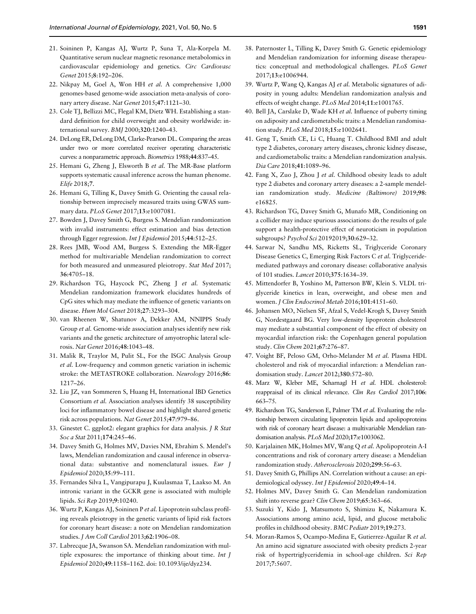- <span id="page-11-0"></span>[21.](#page-3-0) Soininen P, Kangas AJ, Wurtz P, Suna T, Ala-Korpela M. Quantitative serum nuclear magnetic resonance metabolomics in cardiovascular epidemiology and genetics. Circ Cardiovasc Genet 2015;8:192–206.
- [22.](#page-3-0) Nikpay M, Goel A, Won HH et al. A comprehensive 1,000 genomes-based genome-wide association meta-analysis of coronary artery disease. Nat Genet 2015;47:1121–30.
- [23.](#page-3-0) Cole TJ, Bellizzi MC, Flegal KM, Dietz WH. Establishing a standard definition for child overweight and obesity worldwide: international survey. BMJ 2000;320:1240–43.
- [24.](#page-3-0) DeLong ER, DeLong DM, Clarke-Pearson DL. Comparing the areas under two or more correlated receiver operating characteristic curves: a nonparametric approach. Biometrics 1988;44:837–45.
- [25.](#page-3-0) Hemani G, Zheng J, Elsworth B et al. The MR-Base platform supports systematic causal inference across the human phenome. Elife 2018;7.
- [26.](#page-3-0) Hemani G, Tilling K, Davey Smith G. Orienting the causal relationship between imprecisely measured traits using GWAS summary data. PLoS Genet 2017;13:e1007081.
- [27.](#page-3-0) Bowden J, Davey Smith G, Burgess S. Mendelian randomization with invalid instruments: effect estimation and bias detection through Egger regression. Int J Epidemiol 2015;44:512-25.
- [28.](#page-4-0) Rees JMB, Wood AM, Burgess S. Extending the MR-Egger method for multivariable Mendelian randomization to correct for both measured and unmeasured pleiotropy. Stat Med 2017; 36:4705–18.
- [29.](#page-4-0) Richardson TG, Haycock PC, Zheng J et al. Systematic Mendelian randomization framework elucidates hundreds of CpG sites which may mediate the influence of genetic variants on disease. Hum Mol Genet 2018;27:3293–304.
- 30. van Rheenen W, Shatunov A, Dekker AM, NNIPPS Study Group et al. Genome-wide association analyses identify new risk variants and the genetic architecture of amyotrophic lateral sclerosis. Nat Genet 2016;48:1043–48.
- 31. Malik R, Traylor M, Pulit SL, For the ISGC Analysis Group et al. Low-frequency and common genetic variation in ischemic stroke: the METASTROKE collaboration. Neurology 2016;86: 1217–26.
- 32. Liu JZ, van Sommeren S, Huang H, International IBD Genetics Consortium et al. Association analyses identify 38 susceptibility loci for inflammatory bowel disease and highlight shared genetic risk across populations. Nat Genet 2015;47:979–86.
- [33.](#page-4-0) Ginestet C. ggplot2: elegant graphics for data analysis. J R Stat Soc a Stat 2011;174:245–46.
- [34.](#page-7-0) Davey Smith G, Holmes MV, Davies NM, Ebrahim S. Mendel's laws, Mendelian randomization and causal inference in observational data: substantive and nomenclatural issues. Eur J Epidemiol 2020;35:99–111.
- [35.](#page-8-0) Fernandes Silva L, Vangipurapu J, Kuulasmaa T, Laakso M. An intronic variant in the GCKR gene is associated with multiple lipids. Sci Rep 2019;9:10240.
- [36.](#page-8-0) Wurtz P, Kangas AJ, Soininen P et al. Lipoprotein subclass profiling reveals pleiotropy in the genetic variants of lipid risk factors for coronary heart disease: a note on Mendelian randomization studies. J Am Coll Cardiol 2013;62:1906–08.
- [37.](#page-8-0) Labrecque JA, Swanson SA. Mendelian randomization with multiple exposures: the importance of thinking about time. Int J Epidemiol 2020;49:1158–1162. doi: 10.1093/ije/dyz234.
- [38.](#page-8-0) Paternoster L, Tilling K, Davey Smith G. Genetic epidemiology and Mendelian randomization for informing disease therapeutics: conceptual and methodological challenges. PLoS Genet 2017;13:e1006944.
- [39.](#page-8-0) Wurtz P, Wang Q, Kangas AJ et al. Metabolic signatures of adiposity in young adults: Mendelian randomization analysis and effects of weight change. PLoS Med 2014;11:e1001765.
- [40.](#page-8-0) Bell JA, Carslake D, Wade KH et al. Influence of puberty timing on adiposity and cardiometabolic traits: a Mendelian randomisation study. PLoS Med 2018;15:e1002641.
- [41.](#page-8-0) Geng T, Smith CE, Li C, Huang T. Childhood BMI and adult type 2 diabetes, coronary artery diseases, chronic kidney disease, and cardiometabolic traits: a Mendelian randomization analysis. Dia Care 2018;41:1089–96.
- [42.](#page-8-0) Fang X, Zuo J, Zhou J et al. Childhood obesity leads to adult type 2 diabetes and coronary artery diseases: a 2-sample mendelian randomization study. Medicine (Baltimore) 2019;98: e16825.
- [43.](#page-8-0) Richardson TG, Davey Smith G, Munafo MR, Conditioning on a collider may induce spurious associations: do the results of gale support a health-protective effect of neuroticism in population subgroups? Psychol Sci 20192019;30:629–32.
- [44.](#page-8-0) Sarwar N, Sandhu MS, Ricketts SL, Triglyceride Coronary Disease Genetics C, Emerging Risk Factors C et al. Triglyceridemediated pathways and coronary disease: collaborative analysis of 101 studies. Lancet 2010;375:1634–39.
- [45.](#page-8-0) Mittendorfer B, Yoshino M, Patterson BW, Klein S. VLDL triglyceride kinetics in lean, overweight, and obese men and women. J Clin Endocrinol Metab 2016;101:4151–60.
- [46.](#page-8-0) Johansen MO, Nielsen SF, Afzal S, Vedel-Krogh S, Davey Smith G, Nordestgaard BG. Very low-density lipoprotein cholesterol may mediate a substantial component of the effect of obesity on myocardial infarction risk: the Copenhagen general population study. Clin Chem 2021;67:276–87.
- 47. Voight BF, Peloso GM, Orho-Melander M et al. Plasma HDL cholesterol and risk of myocardial infarction: a Mendelian randomisation study. Lancet 2012;380:572–80.
- 48. Marz W, Kleber ME, Scharnagl H et al. HDL cholesterol: reappraisal of its clinical relevance. Clin Res Cardiol 2017;106: 663–75.
- 49. Richardson TG, Sanderson E, Palmer TM et al. Evaluating the relationship between circulating lipoprotein lipids and apolipoproteins with risk of coronary heart disease: a multivariable Mendelian randomisation analysis. PLoS Med 2020;17:e1003062.
- 50. Karjalainen MK, Holmes MV, Wang Q et al. Apolipoprotein A-I concentrations and risk of coronary artery disease: a Mendelian randomization study. Atherosclerosis 2020;299:56–63.
- [51.](#page-9-0) Davey Smith G, Phillips AN. Correlation without a cause: an epidemiological odyssey. Int J Epidemiol 2020;49:4–14.
- [52.](#page-9-0) Holmes MV, Davey Smith G. Can Mendelian randomization shift into reverse gear? Clin Chem 2019;65:363-66.
- 53. Suzuki Y, Kido J, Matsumoto S, Shimizu K, Nakamura K. Associations among amino acid, lipid, and glucose metabolic profiles in childhood obesity. BMC Pediatr 2019;19:273.
- 54. Moran-Ramos S, Ocampo-Medina E, Gutierrez-Aguilar R et al. An amino acid signature associated with obesity predicts 2-year risk of hypertriglyceridemia in school-age children. Sci Rep 2017;7:5607.